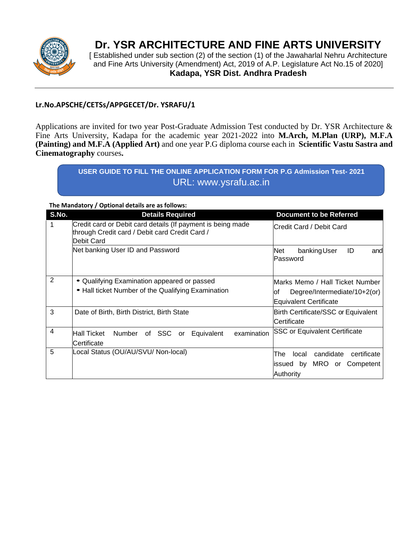

## **Dr. YSR ARCHITECTURE AND FINE ARTS UNIVERSITY**

[ Established under sub section (2) of the section (1) of the Jawaharlal Nehru Architecture and Fine Arts University (Amendment) Act, 2019 of A.P. Legislature Act No.15 of 2020] **Kadapa, YSR Dist. Andhra Pradesh**

## **Lr.No.APSCHE/CETSs/APPGECET/Dr. YSRAFU/1**

Applications are invited for two year Post-Graduate Admission Test conducted by Dr. YSR Architecture & Fine Arts University, Kadapa for the academic year 2021-2022 into **M.Arch, M.Plan (URP), M.F.A (Painting) and M.F.A (Applied Art)** and one year P.G diploma course each in **Scientific Vastu Sastra and Cinematography** courses**.** 

> **USER GUIDE TO FILL THE ONLINE APPLICATION FORM FOR P.G Admission Test- 2021** URL: www.ysrafu.ac.in

**The Mandatory / Optional details are as follows:**

| S.No. | <b>Details Required</b>                                                                                       | <b>Document to be Referred</b>               |
|-------|---------------------------------------------------------------------------------------------------------------|----------------------------------------------|
| 1     | Credit card or Debit card details (If payment is being made<br>through Credit card / Debit card Credit Card / | lCredit Card / Debit Card                    |
|       | Debit Card                                                                                                    |                                              |
|       | Net banking User ID and Password                                                                              | banking User<br>ID<br>Net<br>and<br>Password |
| 2     | • Qualifying Examination appeared or passed                                                                   | Marks Memo / Hall Ticket Number              |
|       | • Hall ticket Number of the Qualifying Examination                                                            | Degree/Intermediate/10+2(or)<br>lof          |
|       |                                                                                                               | <b>Equivalent Certificate</b>                |
| 3     | Date of Birth, Birth District, Birth State                                                                    | Birth Certificate/SSC or Equivalent          |
|       |                                                                                                               | lCertificate                                 |
| 4     | <b>Hall Ticket</b><br>examination<br>Number of SSC or Equivalent                                              | <b>SSC or Equivalent Certificate</b>         |
|       | <b>Certificate</b>                                                                                            |                                              |
| 5     | Local Status (OU/AU/SVU/ Non-local)                                                                           | candidate<br>certificate<br>The<br>local     |
|       |                                                                                                               | MRO or Competent<br>issued by                |
|       |                                                                                                               | Authority                                    |